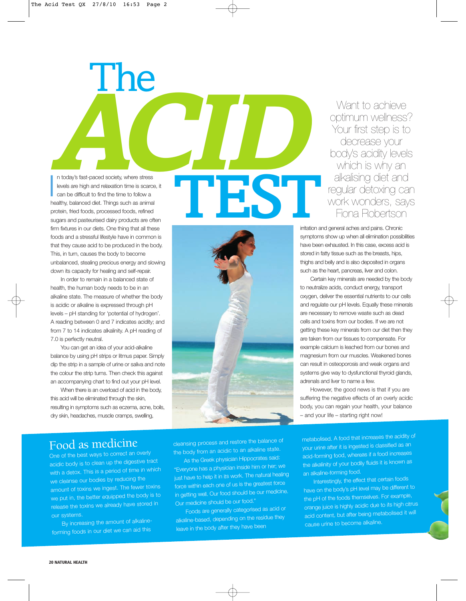

sugars and pasteurised dairy products are often firm fixtures in our diets. One thing that all these foods and a stressful lifestyle have in common is that they cause acid to be produced in the body. This, in turn, causes the body to become unbalanced, stealing precious energy and slowing down its capacity for healing and self-repair.

In order to remain in a balanced state of health, the human body needs to be in an alkaline state. The measure of whether the body is acidic or alkaline is expressed through pH levels – pH standing for 'potential of hydrogen'. A reading between 0 and 7 indicates acidity; and from 7 to 14 indicates alkalinity. A pH reading of 7.0 is perfectly neutral.

You can get an idea of your acid-alkaline balance by using pH strips or litmus paper. Simply dip the strip in a sample of urine or saliva and note the colour the strip turns. Then check this against an accompanying chart to find out your pH level.

When there is an overload of acid in the body, this acid will be eliminated through the skin, resulting in symptoms such as eczema, acne, boils, dry skin, headaches, muscle cramps, swelling,



Want to achieve optimum wellness? Your first step is to decrease your body's acidity levels which is why an alkalising diet and regular detoxing can work wonders, says Fiona Robertson

irritation and general aches and pains. Chronic symptoms show up when all elimination possibilities have been exhausted. In this case, excess acid is stored in fatty tissue such as the breasts, hips, thighs and belly and is also deposited in organs such as the heart, pancreas, liver and colon.

Certain key minerals are needed by the body to neutralize acids, conduct energy, transport oxygen, deliver the essential nutrients to our cells and regulate our pH levels. Equally these minerals are necessary to remove waste such as dead cells and toxins from our bodies. If we are not getting these key minerals from our diet then they are taken from our tissues to compensate. For example calcium is leached from our bones and magnesium from our muscles. Weakened bones can result in osteoporosis and weak organs and systems give way to dysfunctional thyroid glands, adrenals and liver to name a few.

However, the good news is that if you are suffering the negative effects of an overly acidic body, you can regain your health, your balance – and your life – starting right now!

### Food as medicine

One of the best ways to correct an overly acidic body is to clean up the digestive tract with a detox. This is a period of time in which we cleanse our bodies by reducing the amount of toxins we ingest. The fewer toxins we put in, the better equipped the body is to release the toxins we already have stored in our systems.

By increasing the amount of alkalineforming foods in our diet we can aid this

cleansing process and restore the balance o<sup>f</sup> the body from an acidic to an alkaline state.

As the Greek physician Hippocrates said: "Everyone has a physician inside him or her; we just have to help it in its work. The natural healing force within each one of us is the greatest force in getting well. Our food should be our medicine. Our medicine should be our food."

Foods are generally categorised as acid or alkaline-based, depending on the residue they leave in the body after they have been

metabolised. A food that increases the acidity of your urine after it is ingested is classified as an acid-forming food, whereas if a food increases the alkalinity of your bodily fluids it is known as an alkaline-forming food.

Interestingly, the effect that certain foods have on the body's pH level may be different to the pH of the foods themselves. For example, orange juice is highly acidic due to its high citrus acid content, but after being metabolised it will cause urine to become alkaline.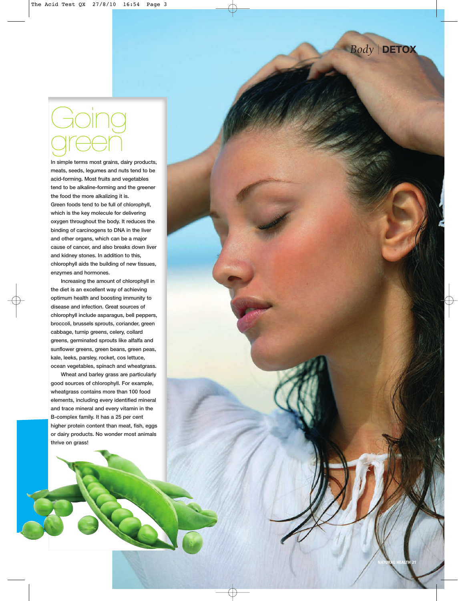*Body* | **DETOX**

**NATURAL HEALTH 21**

# Going green

**In simple terms most grains, dairy products, meats, seeds, legumes and nuts tend to be acid-forming. Most fruits and vegetables tend to be alkaline-forming and the greener the food the more alkalizing it is. Green foods tend to be full of chlorophyll, which is the key molecule for delivering oxygen throughout the body. It reduces the binding of carcinogens to DNA in the liver and other organs, which can be a major cause of cancer, and also breaks down liver and kidney stones. In addition to this, chlorophyll aids the building of new tissues, enzymes and hormones.**

**Increasing the amount of chlorophyll in the diet is an excellent way of achieving optimum health and boosting immunity to disease and infection. Great sources of chlorophyll include asparagus, bell peppers, broccoli, brussels sprouts, coriander, green cabbage, turnip greens, celery, collard greens, germinated sprouts like alfalfa and sunflower greens, green beans, green peas, kale, leeks, parsley, rocket, cos lettuce, ocean vegetables, spinach and wheatgrass.**

**Wheat and barley grass are particularly good sources of chlorophyll. For example, wheatgrass contains more than 100 food elements, including every identified mineral and trace mineral and every vitamin in the B-complex family. It has a 25 per cent higher protein content than meat, fish, eggs or dairy products. No wonder most animals thrive on grass!**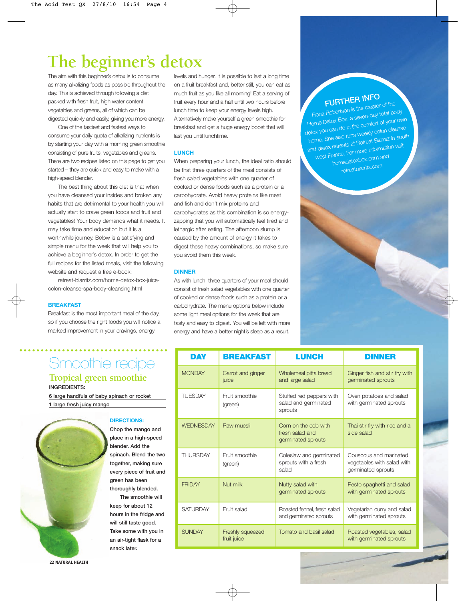# **The beginner's detox**

The aim with this beginner's detox is to consume as many alkalizing foods as possible throughout the day. This is achieved through following a diet packed with fresh fruit, high water content vegetables and greens, all of which can be digested quickly and easily, giving you more energy.

One of the tastiest and fastest ways to consume your daily quota of alkalizing nutrients is by starting your day with a morning green smoothie consisting of pure fruits, vegetables and greens. There are two recipes listed on this page to get you started – they are quick and easy to make with a high-speed blender.

The best thing about this diet is that when you have cleansed your insides and broken any habits that are detrimental to your health you will actually start to crave green foods and fruit and vegetables! Your body demands what it needs. It may take time and education but it is a worthwhile journey. Below is a satisfying and simple menu for the week that will help you to achieve a beginner's detox. In order to get the full recipes for the listed meals, visit the following website and request a free e-book:

retreat-biarritz.com/home-detox-box-juicecolon-cleanse-spa-body-cleansing.html

#### **BREAKFAST**

Breakfast is the most important meal of the day, so if you choose the right foods you will notice a marked improvement in your cravings, energy

# Smoothie recipe **Tropical green smoothie**

**INGREDIENTS:**

**6 large handfuls of baby spinach or rocket 1 large fresh juicy mango**



**22 NATURAL HEALTH**

#### **DIRECTIONS:**

**Chop the mango and place in a high-speed blender. Add the spinach. Blend the two together, making sure every piece of fruit and green has been thoroughly blended.** 

**The smoothie will keep for about 12 hours in the fridge and will still taste good. Take some with you in an air-tight flask for a snack later.**

levels and hunger. It is possible to last a long time on a fruit breakfast and, better still, you can eat as much fruit as you like all morning! Eat a serving of fruit every hour and a half until two hours before lunch time to keep your energy levels high. Alternatively make yourself a green smoothie for breakfast and get a huge energy boost that will last you until lunchtime.

#### **LUNCH**

When preparing your lunch, the ideal ratio should be that three quarters of the meal consists of fresh salad vegetables with one quarter of cooked or dense foods such as a protein or a carbohydrate. Avoid heavy proteins like meat and fish and don't mix proteins and carbohydrates as this combination is so energyzapping that you will automatically feel tired and lethargic after eating. The afternoon slump is caused by the amount of energy it takes to digest these heavy combinations, so make sure you avoid them this week.

#### **DINNER**

As with lunch, three quarters of your meal should consist of fresh salad vegetables with one quarter of cooked or dense foods such as a protein or a carbohydrate. The menu options below include some light meal options for the week that are tasty and easy to digest. You will be left with more energy and have a better night's sleep as a result.

| DAY              | <b>BREAKFAST</b>                | <b>LUNCH</b>                                                  | DINNER                                                                     |
|------------------|---------------------------------|---------------------------------------------------------------|----------------------------------------------------------------------------|
| <b>MONDAY</b>    | Carrot and ginger<br>juice      | Wholemeal pitta bread<br>and large salad                      | Ginger fish and stir fry with<br>germinated sprouts                        |
| <b>TUESDAY</b>   | Fruit smoothie<br>(green)       | Stuffed red peppers with<br>salad and germinated<br>sprouts   | Oven potatoes and salad<br>with germinated sprouts                         |
| <b>WEDNESDAY</b> | Raw muesli                      | Corn on the cob with<br>fresh salad and<br>germinated sprouts | Thai stir fry with rice and a<br>side salad                                |
| <b>THURSDAY</b>  | Fruit smoothie<br>(green)       | Coleslaw and germinated<br>sprouts with a fresh<br>salad      | Couscous and marinated<br>vegetables with salad with<br>germinated sprouts |
| <b>FRIDAY</b>    | Nut milk                        | Nutty salad with<br>germinated sprouts                        | Pesto spaghetti and salad<br>with germinated sprouts                       |
| <b>SATURDAY</b>  | Fruit salad                     | Roasted fennel, fresh salad<br>and germinated sprouts         | Vegetarian curry and salad<br>with germinated sprouts                      |
| <b>SUNDAY</b>    | Freshly squeezed<br>fruit juice | Tomato and basil salad                                        | Roasted vegetables, salad<br>with germinated sprouts                       |

# **FURTHER INFO**

Fiona Robertson is the creator of the Fiona Robertson is and<br>Home Detox Box, a seven-day total body<br>Home Detox Box, a the comfort of your ov Home Detox Box, a succession of your own<br>detox you can do in the comfort of your own etox you can <sup>do in the s</sup><br>home. She also runs weekly colon cleanse<br>home. She also runs the attreat Biarritz in sout home. She also runs web.",<br>home. She also runs web."<br>and detox retreats at Retreat Biarritz in south home. She also runs weekly colori deared<br>and detox retreats at Retreat Biarritz in sou<br>west France. For more information visit homedetoxbox.com and retreatbiarritz.com